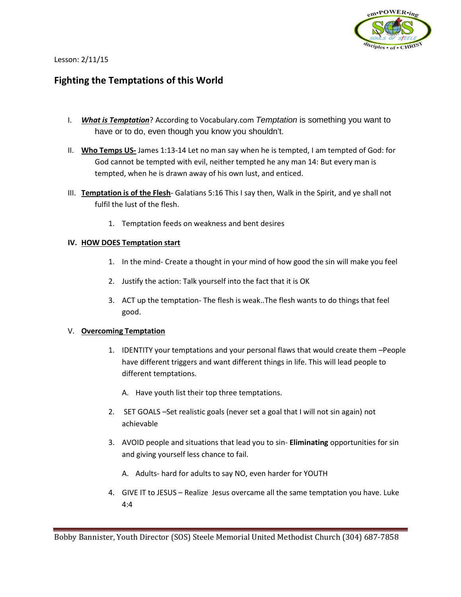

#### Lesson: 2/11/15

# **Fighting the Temptations of this World**

- I. *What is Temptation*? According to Vocabulary.com *Temptation* is something you want to have or to do, even though you know you shouldn't.
- II. **Who Temps US-** James 1:13-14 Let no man say when he is tempted, I am tempted of God: for God cannot be tempted with evil, neither tempted he any man 14: But every man is tempted, when he is drawn away of his own lust, and enticed.
- III. **Temptation is of the Flesh** Galatians 5:16 This I say then, Walk in the Spirit, and ye shall not fulfil the lust of the flesh.
	- 1. Temptation feeds on weakness and bent desires

## **IV. HOW DOES Temptation start**

- 1. In the mind- Create a thought in your mind of how good the sin will make you feel
- 2. Justify the action: Talk yourself into the fact that it is OK
- 3. ACT up the temptation- The flesh is weak..The flesh wants to do things that feel good.

#### V. **Overcoming Temptation**

- 1. IDENTITY your temptations and your personal flaws that would create them –People have different triggers and want different things in life. This will lead people to different temptations.
	- A. Have youth list their top three temptations.
- 2. SET GOALS –Set realistic goals (never set a goal that I will not sin again) not achievable
- 3. AVOID people and situations that lead you to sin- **Eliminating** opportunities for sin and giving yourself less chance to fail.
	- A. Adults- hard for adults to say NO, even harder for YOUTH
- 4. GIVE IT to JESUS Realize Jesus overcame all the same temptation you have. Luke 4:4